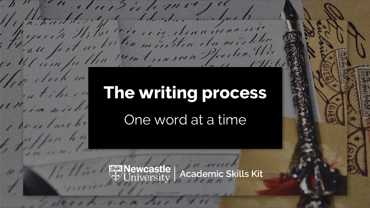# **The writing process**

" eluisibilemer

1/1/2 halle, y What the day to youth

here's buil

Il i particulation de la companière de la participation

"parte Hita liter sein sten du michter

Jest with recent in some Pforder. We

One word at a time

**Academic Skills Kit**<br>
Websity | Academic Skills Kit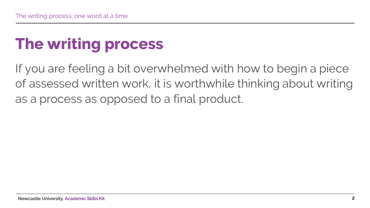# **The writing process**

If you are feeling a bit overwhelmed with how to begin a piece of assessed written work, it is worthwhile thinking about writing as a process as opposed to a final product.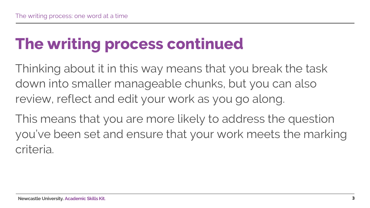#### **The writing process continued**

Thinking about it in this way means that you break the task down into smaller manageable chunks, but you can also review, reflect and edit your work as you go along.

This means that you are more likely to address the question you've been set and ensure that your work meets the marking criteria.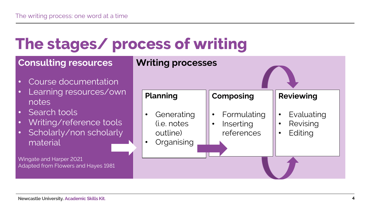#### **The stages/ process of writing**

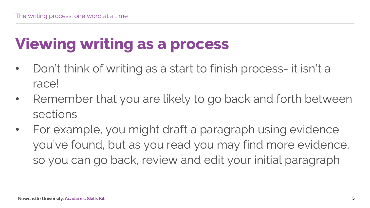# **Viewing writing as a process**

- Don't think of writing as a start to finish process- it isn't a race!
- Remember that you are likely to go back and forth between sections
- For example, you might draft a paragraph using evidence you've found, but as you read you may find more evidence, so you can go back, review and edit your initial paragraph.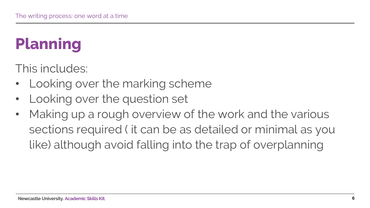# **Planning**

This includes:

- Looking over the marking scheme
- Looking over the question set
- Making up a rough overview of the work and the various sections required ( it can be as detailed or minimal as you like) although avoid falling into the trap of overplanning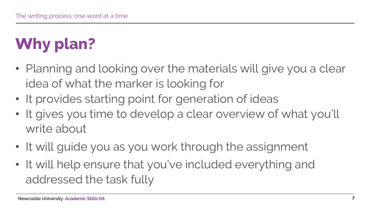# **Why plan?**

- Planning and looking over the materials will give you a clear idea of what the marker is looking for
- It provides starting point for generation of ideas
- It gives you time to develop a clear overview of what you'll write about
- It will guide you as you work through the assignment
- It will help ensure that you've included everything and addressed the task fully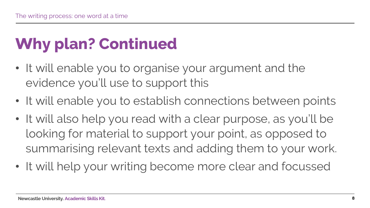### **Why plan? Continued**

- It will enable you to organise your argument and the evidence you'll use to support this
- It will enable you to establish connections between points
- It will also help you read with a clear purpose, as you'll be looking for material to support your point, as opposed to summarising relevant texts and adding them to your work.
- It will help your writing become more clear and focussed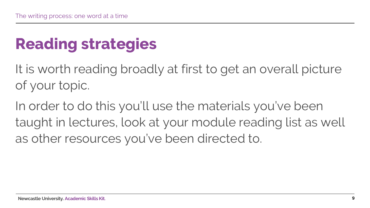### **Reading strategies**

It is worth reading broadly at first to get an overall picture of your topic.

In order to do this you'll use the materials you've been taught in lectures, look at your module reading list as well as other resources you've been directed to.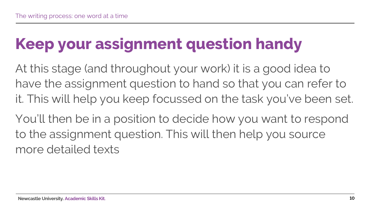# **Keep your assignment question handy**

At this stage (and throughout your work) it is a good idea to have the assignment question to hand so that you can refer to it. This will help you keep focussed on the task you've been set.

You'll then be in a position to decide how you want to respond to the assignment question. This will then help you source more detailed texts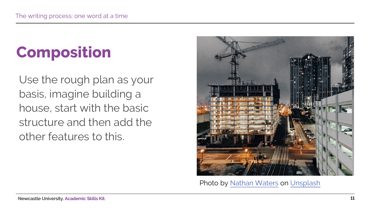# **Composition**

Use the rough plan as your basis, imagine building a house, start with the basic structure and then add the other features to this.



Photo by [Nathan Waters](https://unsplash.com/@nathangwaters?utm_source=unsplash&utm_medium=referral&utm_content=creditCopyText) on [Unsplash](https://unsplash.com/s/photos/construction?utm_source=unsplash&utm_medium=referral&utm_content=creditCopyText)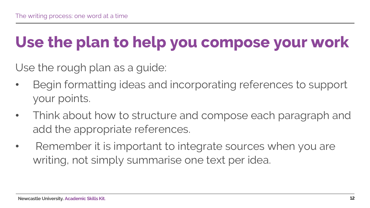#### **Use the plan to help you compose your work**

Use the rough plan as a guide:

- Begin formatting ideas and incorporating references to support your points.
- Think about how to structure and compose each paragraph and add the appropriate references.
- Remember it is important to integrate sources when you are writing, not simply summarise one text per idea.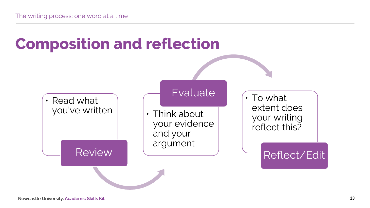